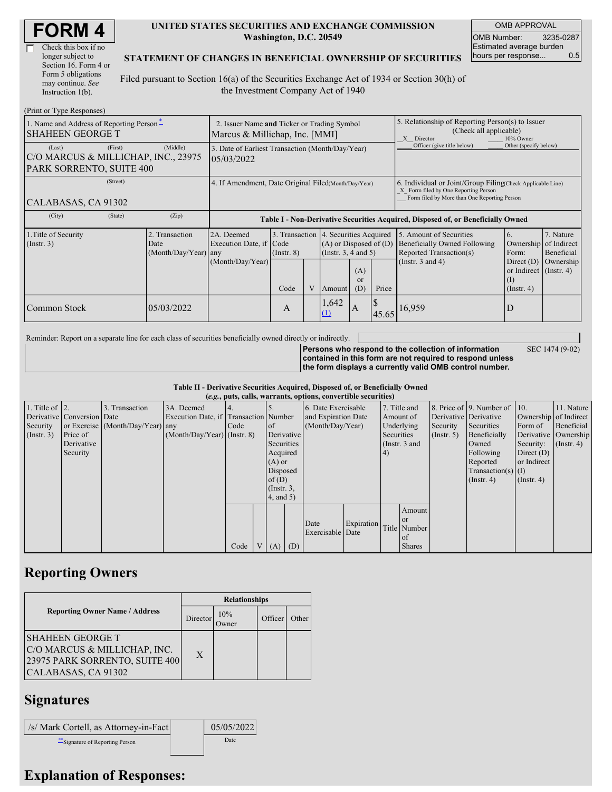| <b>FORM4</b> |
|--------------|
|--------------|

| Check this box if no  |
|-----------------------|
| longer subject to     |
| Section 16. Form 4 or |
| Form 5 obligations    |
| may continue. See     |
| Instruction 1(b).     |

### **UNITED STATES SECURITIES AND EXCHANGE COMMISSION Washington, D.C. 20549**

OMB APPROVAL OMB Number: 3235-0287 Estimated average burden hours per response... 0.5

SEC 1474 (9-02)

### **STATEMENT OF CHANGES IN BENEFICIAL OWNERSHIP OF SECURITIES**

Filed pursuant to Section 16(a) of the Securities Exchange Act of 1934 or Section 30(h) of the Investment Company Act of 1940

| (Print or Type Responses)                                                            |                                                                               |                         |                                         |                                       |                            |                                                                                                                                                    |                                                                                                       |                              |                                        |             |
|--------------------------------------------------------------------------------------|-------------------------------------------------------------------------------|-------------------------|-----------------------------------------|---------------------------------------|----------------------------|----------------------------------------------------------------------------------------------------------------------------------------------------|-------------------------------------------------------------------------------------------------------|------------------------------|----------------------------------------|-------------|
| 1. Name and Address of Reporting Person-<br><b>SHAHEEN GEORGE T</b>                  | 2. Issuer Name and Ticker or Trading Symbol<br>Marcus & Millichap, Inc. [MMI] |                         |                                         |                                       |                            |                                                                                                                                                    | 5. Relationship of Reporting Person(s) to Issuer<br>(Check all applicable)<br>10% Owner<br>X Director |                              |                                        |             |
| (First)<br>(Last)<br>C/O MARCUS & MILLICHAP, INC., 23975<br>PARK SORRENTO, SUITE 400 | 3. Date of Earliest Transaction (Month/Day/Year)<br>05/03/2022                |                         |                                         |                                       |                            |                                                                                                                                                    | Officer (give title below)                                                                            | Other (specify below)        |                                        |             |
| (Street)<br>CALABASAS, CA 91302                                                      | 4. If Amendment, Date Original Filed(Month/Day/Year)                          |                         |                                         |                                       |                            | 6. Individual or Joint/Group Filing Check Applicable Line)<br>X Form filed by One Reporting Person<br>Form filed by More than One Reporting Person |                                                                                                       |                              |                                        |             |
| (City)<br>(State)                                                                    | (Zip)                                                                         |                         |                                         |                                       |                            |                                                                                                                                                    | Table I - Non-Derivative Securities Acquired, Disposed of, or Beneficially Owned                      |                              |                                        |             |
| 1. Title of Security                                                                 | 2A. Deemed                                                                    |                         |                                         | 3. Transaction 4. Securities Acquired |                            |                                                                                                                                                    | 5. Amount of Securities                                                                               | 6.                           | 7. Nature                              |             |
| $($ Instr. 3 $)$                                                                     | Date                                                                          | Execution Date, if Code |                                         |                                       | $(A)$ or Disposed of $(D)$ |                                                                                                                                                    |                                                                                                       | Beneficially Owned Following | Ownership                              | of Indirect |
|                                                                                      | $(Month/Day/Year)$ any                                                        |                         | (Insert. 3, 4 and 5)<br>$($ Instr. $8)$ |                                       |                            |                                                                                                                                                    |                                                                                                       | Reported Transaction(s)      | Form:                                  | Beneficial  |
|                                                                                      |                                                                               | (Month/Day/Year)        |                                         |                                       |                            | (A)                                                                                                                                                |                                                                                                       | (Instr. $3$ and $4$ )        | Direct $(D)$<br>or Indirect (Instr. 4) | Ownership   |
|                                                                                      |                                                                               |                         | Code                                    | V                                     | Amount                     | <sub>or</sub><br>(D)                                                                                                                               | Price                                                                                                 |                              | (I)<br>$($ Instr. 4 $)$                |             |
| Common Stock                                                                         | 05/03/2022                                                                    |                         | A                                       |                                       | 1,642<br>(1)               | $\overline{A}$                                                                                                                                     | 45.65                                                                                                 | 16,959                       | D                                      |             |

Reminder: Report on a separate line for each class of securities beneficially owned directly or indirectly.

**Persons who respond to the collection of information contained in this form are not required to respond unless the form displays a currently valid OMB control number.**

**Table II - Derivative Securities Acquired, Disposed of, or Beneficially Owned**

|                        | (e.g., puts, calls, warrants, options, convertible securities) |                                  |                                       |      |  |                 |     |                     |            |               |               |             |                              |                       |                      |
|------------------------|----------------------------------------------------------------|----------------------------------|---------------------------------------|------|--|-----------------|-----|---------------------|------------|---------------|---------------|-------------|------------------------------|-----------------------|----------------------|
| 1. Title of $\vert$ 2. |                                                                | 3. Transaction                   | 3A. Deemed                            |      |  |                 |     | 6. Date Exercisable |            |               | 7. Title and  |             | 8. Price of 9. Number of 10. |                       | 11. Nature           |
|                        | Derivative Conversion Date                                     |                                  | Execution Date, if Transaction Number |      |  |                 |     | and Expiration Date |            | Amount of     |               |             | Derivative Derivative        | Ownership of Indirect |                      |
| Security               |                                                                | or Exercise (Month/Day/Year) any |                                       | Code |  | <sub>of</sub>   |     | (Month/Day/Year)    |            | Underlying    |               | Security    | Securities                   | Form of               | Beneficial           |
| $($ Instr. 3 $)$       | Price of                                                       |                                  | $(Month/Day/Year)$ (Instr. 8)         |      |  | Derivative      |     |                     |            | Securities    |               | (Insert, 5) | Beneficially                 |                       | Derivative Ownership |
|                        | Derivative                                                     |                                  |                                       |      |  | Securities      |     |                     |            | (Instr. 3 and |               |             | Owned                        | Security:             | $($ Instr. 4)        |
|                        | Security                                                       |                                  |                                       |      |  | Acquired        |     |                     |            | (4)           |               |             | Following                    | Direct $(D)$          |                      |
|                        |                                                                |                                  |                                       |      |  | $(A)$ or        |     |                     |            |               |               |             | Reported                     | or Indirect           |                      |
|                        |                                                                |                                  |                                       |      |  | Disposed        |     |                     |            |               |               |             | $Transaction(s)$ (I)         |                       |                      |
|                        |                                                                |                                  |                                       |      |  | of $(D)$        |     |                     |            |               |               |             | $($ Instr. 4 $)$             | $($ Instr. 4 $)$      |                      |
|                        |                                                                |                                  |                                       |      |  | $($ Instr. $3,$ |     |                     |            |               |               |             |                              |                       |                      |
|                        |                                                                |                                  |                                       |      |  | 4, and 5)       |     |                     |            |               |               |             |                              |                       |                      |
|                        |                                                                |                                  |                                       |      |  |                 |     |                     |            |               | Amount        |             |                              |                       |                      |
|                        |                                                                |                                  |                                       |      |  |                 |     |                     |            |               | <b>or</b>     |             |                              |                       |                      |
|                        |                                                                |                                  |                                       |      |  |                 |     | Date                | Expiration |               | Title Number  |             |                              |                       |                      |
|                        |                                                                |                                  |                                       |      |  |                 |     | Exercisable Date    |            |               | of            |             |                              |                       |                      |
|                        |                                                                |                                  |                                       | Code |  | V(A)            | (D) |                     |            |               | <b>Shares</b> |             |                              |                       |                      |

## **Reporting Owners**

|                                                                                                                  | <b>Relationships</b> |                      |         |       |  |  |  |
|------------------------------------------------------------------------------------------------------------------|----------------------|----------------------|---------|-------|--|--|--|
| <b>Reporting Owner Name / Address</b>                                                                            | Director             | 10%<br><b>J</b> wner | Officer | Other |  |  |  |
| <b>SHAHEEN GEORGE T</b><br>C/O MARCUS & MILLICHAP, INC.<br>23975 PARK SORRENTO, SUITE 400<br>CALABASAS, CA 91302 | X                    |                      |         |       |  |  |  |

# **Signatures**

| /s/ Mark Cortell, as Attorney-in-Fact | 05/05/2022 |
|---------------------------------------|------------|
| Signature of Reporting Person         | Date       |

### **Explanation of Responses:**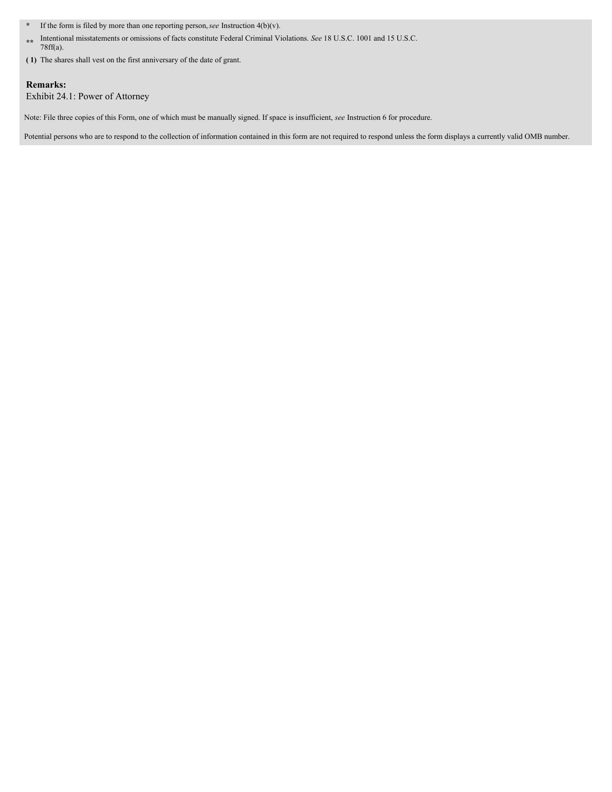- **\*** If the form is filed by more than one reporting person,*see* Instruction 4(b)(v).
- **\*\*** Intentional misstatements or omissions of facts constitute Federal Criminal Violations. *See* 18 U.S.C. 1001 and 15 U.S.C. 78ff(a).
- **( 1)** The shares shall vest on the first anniversary of the date of grant.

### **Remarks:**

Exhibit 24.1: Power of Attorney

Note: File three copies of this Form, one of which must be manually signed. If space is insufficient, *see* Instruction 6 for procedure.

Potential persons who are to respond to the collection of information contained in this form are not required to respond unless the form displays a currently valid OMB number.